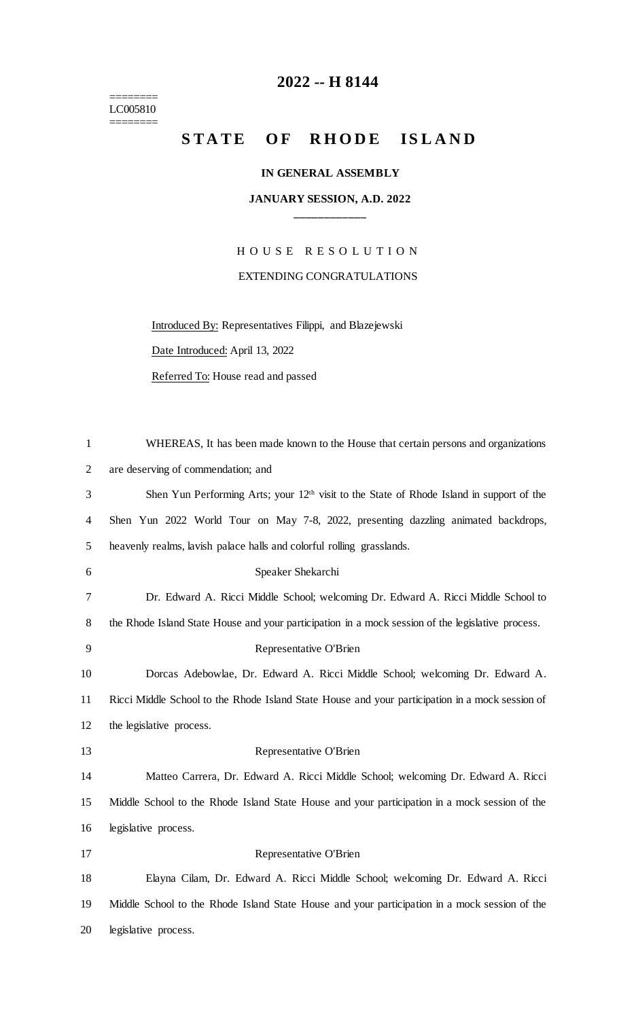======== LC005810 ========

## **2022 -- H 8144**

# STATE OF RHODE ISLAND

### **IN GENERAL ASSEMBLY**

### **JANUARY SESSION, A.D. 2022 \_\_\_\_\_\_\_\_\_\_\_\_**

H O U S E R E S O L U T I O N EXTENDING CONGRATULATIONS

Introduced By: Representatives Filippi, and Blazejewski

Date Introduced: April 13, 2022

Referred To: House read and passed

| $\mathbf{1}$   | WHEREAS, It has been made known to the House that certain persons and organizations                  |
|----------------|------------------------------------------------------------------------------------------------------|
| $\mathbf{2}$   | are deserving of commendation; and                                                                   |
| 3              | Shen Yun Performing Arts; your 12 <sup>th</sup> visit to the State of Rhode Island in support of the |
| $\overline{4}$ | Shen Yun 2022 World Tour on May 7-8, 2022, presenting dazzling animated backdrops,                   |
| 5              | heavenly realms, lavish palace halls and colorful rolling grasslands.                                |
| 6              | Speaker Shekarchi                                                                                    |
| 7              | Dr. Edward A. Ricci Middle School; welcoming Dr. Edward A. Ricci Middle School to                    |
| $8\,$          | the Rhode Island State House and your participation in a mock session of the legislative process.    |
| 9              | Representative O'Brien                                                                               |
| 10             | Dorcas Adebowlae, Dr. Edward A. Ricci Middle School; welcoming Dr. Edward A.                         |
| 11             | Ricci Middle School to the Rhode Island State House and your participation in a mock session of      |
| 12             | the legislative process.                                                                             |
| 13             | Representative O'Brien                                                                               |
| 14             | Matteo Carrera, Dr. Edward A. Ricci Middle School; welcoming Dr. Edward A. Ricci                     |
| 15             | Middle School to the Rhode Island State House and your participation in a mock session of the        |
| 16             | legislative process.                                                                                 |
| 17             | Representative O'Brien                                                                               |
| 18             | Elayna Cilam, Dr. Edward A. Ricci Middle School; welcoming Dr. Edward A. Ricci                       |
| 19             | Middle School to the Rhode Island State House and your participation in a mock session of the        |
| 20             | legislative process.                                                                                 |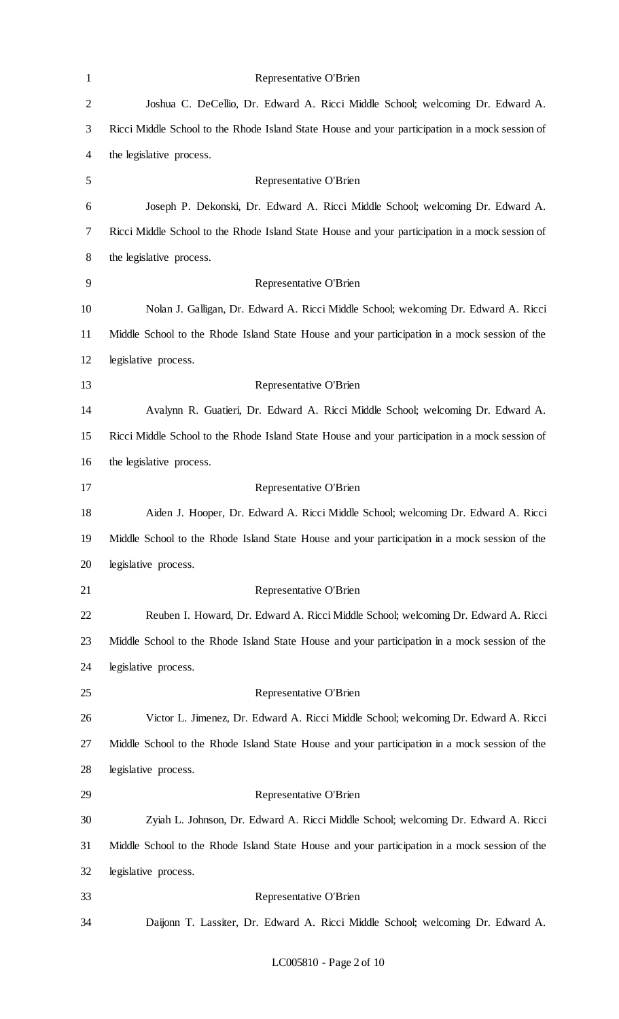| $\mathbf{1}$   | Representative O'Brien                                                                          |
|----------------|-------------------------------------------------------------------------------------------------|
| $\overline{c}$ | Joshua C. DeCellio, Dr. Edward A. Ricci Middle School; welcoming Dr. Edward A.                  |
| 3              | Ricci Middle School to the Rhode Island State House and your participation in a mock session of |
| 4              | the legislative process.                                                                        |
| 5              | Representative O'Brien                                                                          |
| 6              | Joseph P. Dekonski, Dr. Edward A. Ricci Middle School; welcoming Dr. Edward A.                  |
| 7              | Ricci Middle School to the Rhode Island State House and your participation in a mock session of |
| 8              | the legislative process.                                                                        |
| 9              | Representative O'Brien                                                                          |
| 10             | Nolan J. Galligan, Dr. Edward A. Ricci Middle School; welcoming Dr. Edward A. Ricci             |
| 11             | Middle School to the Rhode Island State House and your participation in a mock session of the   |
| 12             | legislative process.                                                                            |
| 13             | Representative O'Brien                                                                          |
| 14             | Avalynn R. Guatieri, Dr. Edward A. Ricci Middle School; welcoming Dr. Edward A.                 |
| 15             | Ricci Middle School to the Rhode Island State House and your participation in a mock session of |
| 16             | the legislative process.                                                                        |
| 17             | Representative O'Brien                                                                          |
| 18             | Aiden J. Hooper, Dr. Edward A. Ricci Middle School; welcoming Dr. Edward A. Ricci               |
| 19             | Middle School to the Rhode Island State House and your participation in a mock session of the   |
| 20             | legislative process.                                                                            |
| 21             | Representative O'Brien                                                                          |
| 22             | Reuben I. Howard, Dr. Edward A. Ricci Middle School; welcoming Dr. Edward A. Ricci              |
| 23             | Middle School to the Rhode Island State House and your participation in a mock session of the   |
| 24             | legislative process.                                                                            |
| 25             | Representative O'Brien                                                                          |
| 26             | Victor L. Jimenez, Dr. Edward A. Ricci Middle School; welcoming Dr. Edward A. Ricci             |
| 27             | Middle School to the Rhode Island State House and your participation in a mock session of the   |
| 28             | legislative process.                                                                            |
| 29             | Representative O'Brien                                                                          |
| 30             | Zyiah L. Johnson, Dr. Edward A. Ricci Middle School; welcoming Dr. Edward A. Ricci              |
| 31             | Middle School to the Rhode Island State House and your participation in a mock session of the   |
| 32             | legislative process.                                                                            |
| 33             | Representative O'Brien                                                                          |
| 34             | Daijonn T. Lassiter, Dr. Edward A. Ricci Middle School; welcoming Dr. Edward A.                 |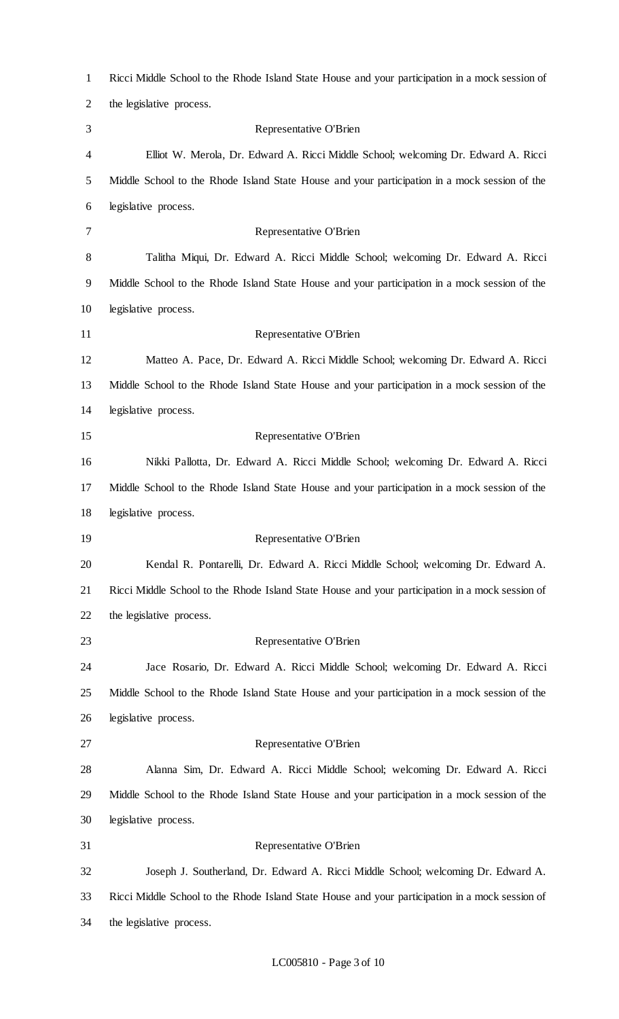| $\mathbf{1}$   | Ricci Middle School to the Rhode Island State House and your participation in a mock session of |
|----------------|-------------------------------------------------------------------------------------------------|
| $\overline{2}$ | the legislative process.                                                                        |
| 3              | Representative O'Brien                                                                          |
| 4              | Elliot W. Merola, Dr. Edward A. Ricci Middle School; welcoming Dr. Edward A. Ricci              |
| 5              | Middle School to the Rhode Island State House and your participation in a mock session of the   |
| 6              | legislative process.                                                                            |
| 7              | Representative O'Brien                                                                          |
| 8              | Talitha Miqui, Dr. Edward A. Ricci Middle School; welcoming Dr. Edward A. Ricci                 |
| 9              | Middle School to the Rhode Island State House and your participation in a mock session of the   |
| 10             | legislative process.                                                                            |
| 11             | Representative O'Brien                                                                          |
| 12             | Matteo A. Pace, Dr. Edward A. Ricci Middle School; welcoming Dr. Edward A. Ricci                |
| 13             | Middle School to the Rhode Island State House and your participation in a mock session of the   |
| 14             | legislative process.                                                                            |
| 15             | Representative O'Brien                                                                          |
| 16             | Nikki Pallotta, Dr. Edward A. Ricci Middle School; welcoming Dr. Edward A. Ricci                |
| 17             | Middle School to the Rhode Island State House and your participation in a mock session of the   |
| 18             | legislative process.                                                                            |
| 19             | Representative O'Brien                                                                          |
| 20             | Kendal R. Pontarelli, Dr. Edward A. Ricci Middle School; welcoming Dr. Edward A.                |
| 21             | Ricci Middle School to the Rhode Island State House and your participation in a mock session of |
| 22             | the legislative process.                                                                        |
| 23             | Representative O'Brien                                                                          |
| 24             | Jace Rosario, Dr. Edward A. Ricci Middle School; welcoming Dr. Edward A. Ricci                  |
| 25             | Middle School to the Rhode Island State House and your participation in a mock session of the   |
| 26             | legislative process.                                                                            |
| 27             | Representative O'Brien                                                                          |
| 28             | Alanna Sim, Dr. Edward A. Ricci Middle School; welcoming Dr. Edward A. Ricci                    |
| 29             | Middle School to the Rhode Island State House and your participation in a mock session of the   |
| 30             | legislative process.                                                                            |
| 31             | Representative O'Brien                                                                          |
| 32             | Joseph J. Southerland, Dr. Edward A. Ricci Middle School; welcoming Dr. Edward A.               |
| 33             | Ricci Middle School to the Rhode Island State House and your participation in a mock session of |
| 34             | the legislative process.                                                                        |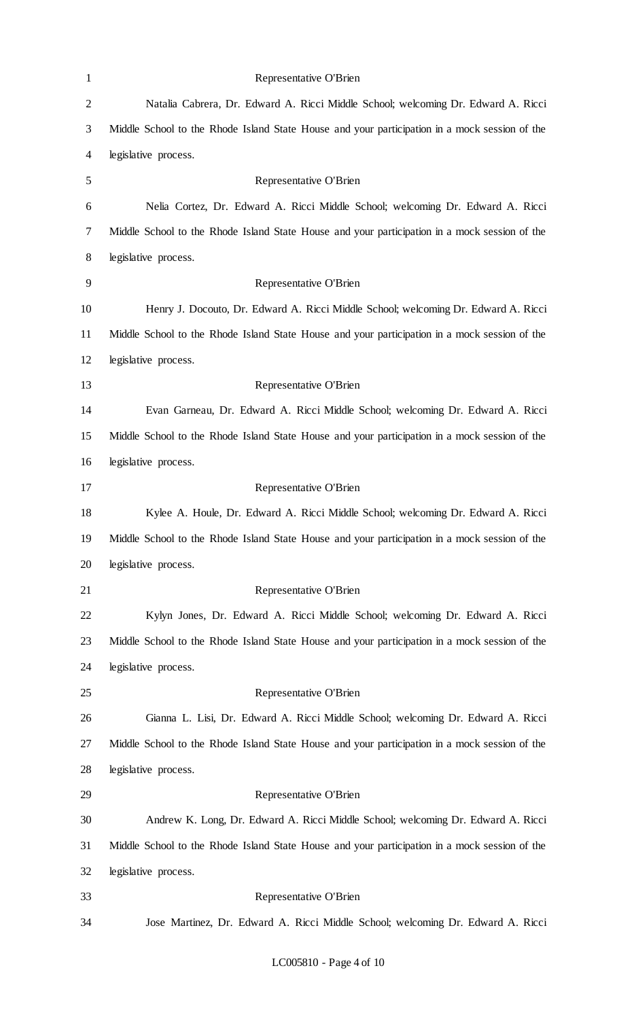| $\mathbf{1}$   | Representative O'Brien                                                                        |
|----------------|-----------------------------------------------------------------------------------------------|
| $\overline{c}$ | Natalia Cabrera, Dr. Edward A. Ricci Middle School; welcoming Dr. Edward A. Ricci             |
| 3              | Middle School to the Rhode Island State House and your participation in a mock session of the |
| $\overline{4}$ | legislative process.                                                                          |
| 5              | Representative O'Brien                                                                        |
| 6              | Nelia Cortez, Dr. Edward A. Ricci Middle School; welcoming Dr. Edward A. Ricci                |
| 7              | Middle School to the Rhode Island State House and your participation in a mock session of the |
| 8              | legislative process.                                                                          |
| 9              | Representative O'Brien                                                                        |
| 10             | Henry J. Docouto, Dr. Edward A. Ricci Middle School; welcoming Dr. Edward A. Ricci            |
| 11             | Middle School to the Rhode Island State House and your participation in a mock session of the |
| 12             | legislative process.                                                                          |
| 13             | Representative O'Brien                                                                        |
| 14             | Evan Garneau, Dr. Edward A. Ricci Middle School; welcoming Dr. Edward A. Ricci                |
| 15             | Middle School to the Rhode Island State House and your participation in a mock session of the |
| 16             | legislative process.                                                                          |
| 17             | Representative O'Brien                                                                        |
| 18             | Kylee A. Houle, Dr. Edward A. Ricci Middle School; welcoming Dr. Edward A. Ricci              |
| 19             | Middle School to the Rhode Island State House and your participation in a mock session of the |
| 20             | legislative process.                                                                          |
| 21             | Representative O'Brien                                                                        |
| 22             | Kylyn Jones, Dr. Edward A. Ricci Middle School; welcoming Dr. Edward A. Ricci                 |
| 23             | Middle School to the Rhode Island State House and your participation in a mock session of the |
| 24             | legislative process.                                                                          |
| 25             | Representative O'Brien                                                                        |
| 26             | Gianna L. Lisi, Dr. Edward A. Ricci Middle School; welcoming Dr. Edward A. Ricci              |
| 27             | Middle School to the Rhode Island State House and your participation in a mock session of the |
| 28             | legislative process.                                                                          |
| 29             | Representative O'Brien                                                                        |
| 30             | Andrew K. Long, Dr. Edward A. Ricci Middle School; welcoming Dr. Edward A. Ricci              |
| 31             | Middle School to the Rhode Island State House and your participation in a mock session of the |
| 32             | legislative process.                                                                          |
| 33             | Representative O'Brien                                                                        |
| 34             | Jose Martinez, Dr. Edward A. Ricci Middle School; welcoming Dr. Edward A. Ricci               |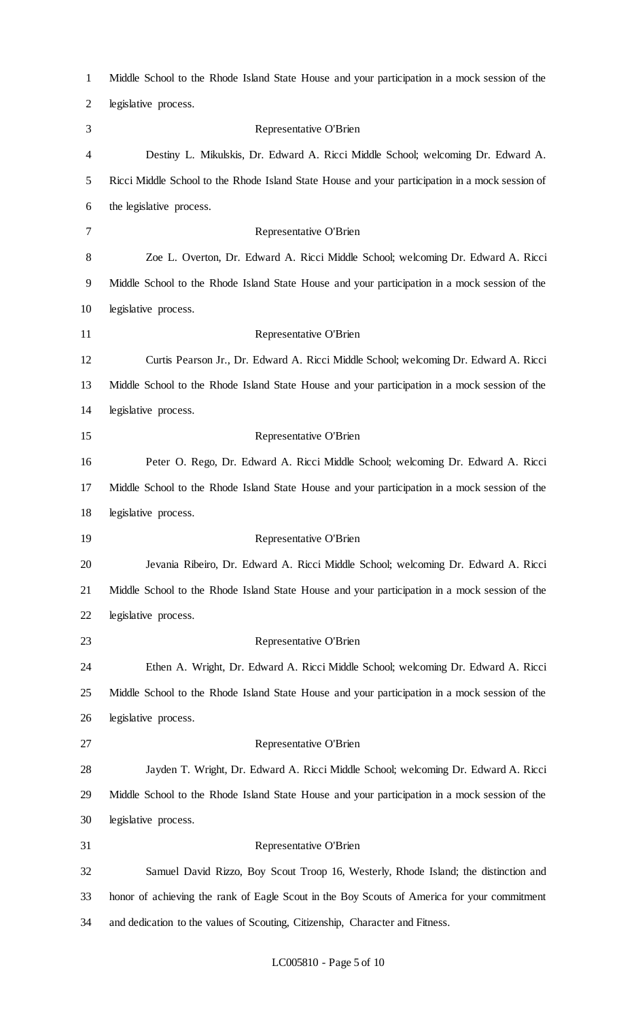| $\mathbf{1}$ | Middle School to the Rhode Island State House and your participation in a mock session of the   |
|--------------|-------------------------------------------------------------------------------------------------|
| 2            | legislative process.                                                                            |
| 3            | Representative O'Brien                                                                          |
| 4            | Destiny L. Mikulskis, Dr. Edward A. Ricci Middle School; welcoming Dr. Edward A.                |
| 5            | Ricci Middle School to the Rhode Island State House and your participation in a mock session of |
| 6            | the legislative process.                                                                        |
| 7            | Representative O'Brien                                                                          |
| 8            | Zoe L. Overton, Dr. Edward A. Ricci Middle School; welcoming Dr. Edward A. Ricci                |
| 9            | Middle School to the Rhode Island State House and your participation in a mock session of the   |
| 10           | legislative process.                                                                            |
| 11           | Representative O'Brien                                                                          |
| 12           | Curtis Pearson Jr., Dr. Edward A. Ricci Middle School; welcoming Dr. Edward A. Ricci            |
| 13           | Middle School to the Rhode Island State House and your participation in a mock session of the   |
| 14           | legislative process.                                                                            |
| 15           | Representative O'Brien                                                                          |
| 16           | Peter O. Rego, Dr. Edward A. Ricci Middle School; welcoming Dr. Edward A. Ricci                 |
| 17           | Middle School to the Rhode Island State House and your participation in a mock session of the   |
| 18           | legislative process.                                                                            |
| 19           | Representative O'Brien                                                                          |
| 20           | Jevania Ribeiro, Dr. Edward A. Ricci Middle School; welcoming Dr. Edward A. Ricci               |
| 21           | Middle School to the Rhode Island State House and your participation in a mock session of the   |
| 22           | legislative process.                                                                            |
| 23           | Representative O'Brien                                                                          |
| 24           | Ethen A. Wright, Dr. Edward A. Ricci Middle School; welcoming Dr. Edward A. Ricci               |
| 25           | Middle School to the Rhode Island State House and your participation in a mock session of the   |
| 26           | legislative process.                                                                            |
| 27           | Representative O'Brien                                                                          |
| 28           | Jayden T. Wright, Dr. Edward A. Ricci Middle School; welcoming Dr. Edward A. Ricci              |
| 29           | Middle School to the Rhode Island State House and your participation in a mock session of the   |
| 30           | legislative process.                                                                            |
| 31           | Representative O'Brien                                                                          |
| 32           | Samuel David Rizzo, Boy Scout Troop 16, Westerly, Rhode Island; the distinction and             |
| 33           | honor of achieving the rank of Eagle Scout in the Boy Scouts of America for your commitment     |
| 34           | and dedication to the values of Scouting, Citizenship, Character and Fitness.                   |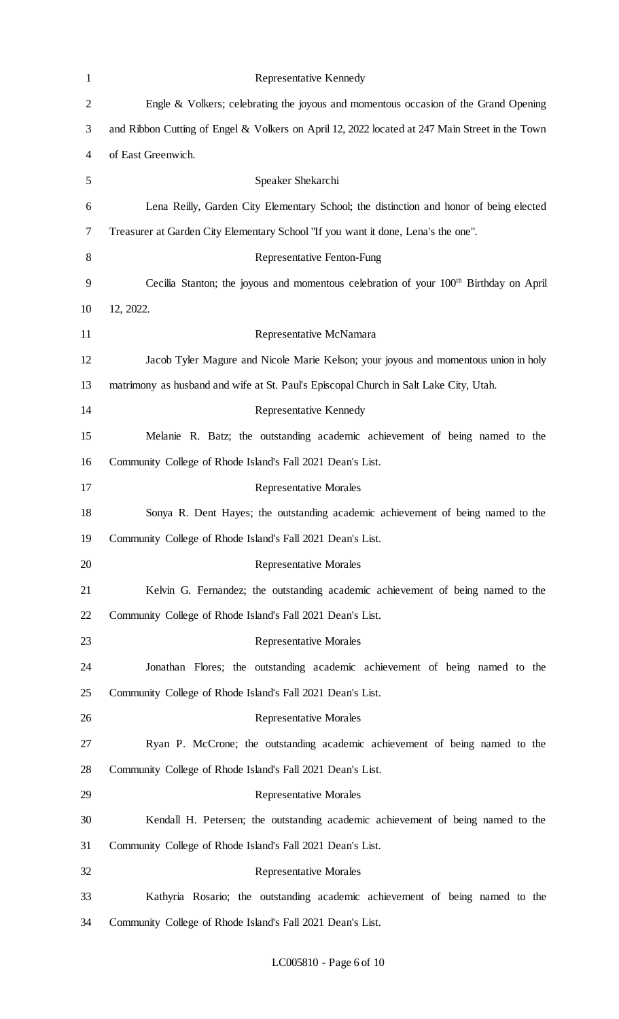| $\mathbf{1}$   | Representative Kennedy                                                                            |
|----------------|---------------------------------------------------------------------------------------------------|
| $\overline{2}$ | Engle & Volkers; celebrating the joyous and momentous occasion of the Grand Opening               |
| 3              | and Ribbon Cutting of Engel & Volkers on April 12, 2022 located at 247 Main Street in the Town    |
| $\overline{4}$ | of East Greenwich.                                                                                |
| 5              | Speaker Shekarchi                                                                                 |
| 6              | Lena Reilly, Garden City Elementary School; the distinction and honor of being elected            |
| 7              | Treasurer at Garden City Elementary School "If you want it done, Lena's the one".                 |
| 8              | <b>Representative Fenton-Fung</b>                                                                 |
| 9              | Cecilia Stanton; the joyous and momentous celebration of your 100 <sup>th</sup> Birthday on April |
| 10             | 12, 2022.                                                                                         |
| 11             | Representative McNamara                                                                           |
| 12             | Jacob Tyler Magure and Nicole Marie Kelson; your joyous and momentous union in holy               |
| 13             | matrimony as husband and wife at St. Paul's Episcopal Church in Salt Lake City, Utah.             |
| 14             | Representative Kennedy                                                                            |
| 15             | Melanie R. Batz; the outstanding academic achievement of being named to the                       |
| 16             | Community College of Rhode Island's Fall 2021 Dean's List.                                        |
| 17             | <b>Representative Morales</b>                                                                     |
| 18             | Sonya R. Dent Hayes; the outstanding academic achievement of being named to the                   |
| 19             | Community College of Rhode Island's Fall 2021 Dean's List.                                        |
| 20             | <b>Representative Morales</b>                                                                     |
| 21             | Kelvin G. Fernandez; the outstanding academic achievement of being named to the                   |
| 22             | Community College of Rhode Island's Fall 2021 Dean's List.                                        |
| 23             | <b>Representative Morales</b>                                                                     |
| 24             | Jonathan Flores; the outstanding academic achievement of being named to the                       |
| 25             | Community College of Rhode Island's Fall 2021 Dean's List.                                        |
| 26             | <b>Representative Morales</b>                                                                     |
| 27             | Ryan P. McCrone; the outstanding academic achievement of being named to the                       |
| 28             | Community College of Rhode Island's Fall 2021 Dean's List.                                        |
| 29             | <b>Representative Morales</b>                                                                     |
| 30             | Kendall H. Petersen; the outstanding academic achievement of being named to the                   |
| 31             | Community College of Rhode Island's Fall 2021 Dean's List.                                        |
| 32             | <b>Representative Morales</b>                                                                     |
| 33             | Kathyria Rosario; the outstanding academic achievement of being named to the                      |
| 34             | Community College of Rhode Island's Fall 2021 Dean's List.                                        |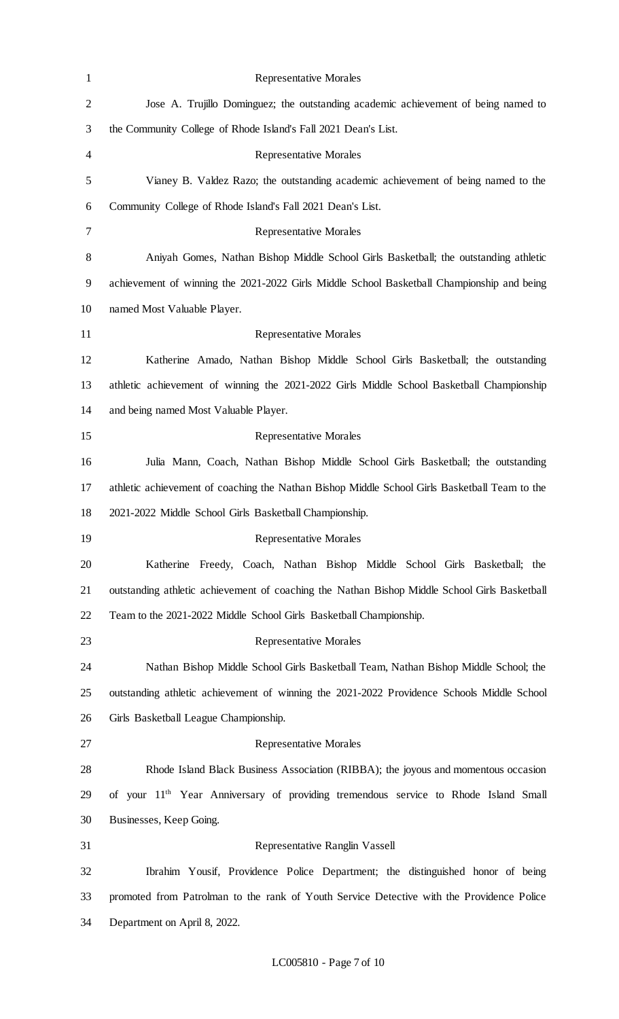| $\mathbf{1}$   | <b>Representative Morales</b>                                                                   |
|----------------|-------------------------------------------------------------------------------------------------|
| $\overline{2}$ | Jose A. Trujillo Dominguez; the outstanding academic achievement of being named to              |
| 3              | the Community College of Rhode Island's Fall 2021 Dean's List.                                  |
| $\overline{4}$ | <b>Representative Morales</b>                                                                   |
| 5              | Vianey B. Valdez Razo; the outstanding academic achievement of being named to the               |
| 6              | Community College of Rhode Island's Fall 2021 Dean's List.                                      |
| 7              | <b>Representative Morales</b>                                                                   |
| 8              | Aniyah Gomes, Nathan Bishop Middle School Girls Basketball; the outstanding athletic            |
| 9              | achievement of winning the 2021-2022 Girls Middle School Basketball Championship and being      |
| 10             | named Most Valuable Player.                                                                     |
| 11             | <b>Representative Morales</b>                                                                   |
| 12             | Katherine Amado, Nathan Bishop Middle School Girls Basketball; the outstanding                  |
| 13             | athletic achievement of winning the 2021-2022 Girls Middle School Basketball Championship       |
| 14             | and being named Most Valuable Player.                                                           |
| 15             | <b>Representative Morales</b>                                                                   |
| 16             | Julia Mann, Coach, Nathan Bishop Middle School Girls Basketball; the outstanding                |
| 17             | athletic achievement of coaching the Nathan Bishop Middle School Girls Basketball Team to the   |
| 18             | 2021-2022 Middle School Girls Basketball Championship.                                          |
| 19             | <b>Representative Morales</b>                                                                   |
| 20             | Katherine Freedy, Coach, Nathan Bishop Middle School Girls Basketball; the                      |
| 21             | outstanding athletic achievement of coaching the Nathan Bishop Middle School Girls Basketball   |
| 22             | Team to the 2021-2022 Middle School Girls Basketball Championship.                              |
| 23             | <b>Representative Morales</b>                                                                   |
| 24             | Nathan Bishop Middle School Girls Basketball Team, Nathan Bishop Middle School; the             |
| 25             | outstanding athletic achievement of winning the 2021-2022 Providence Schools Middle School      |
| 26             | Girls Basketball League Championship.                                                           |
| 27             | <b>Representative Morales</b>                                                                   |
| 28             | Rhode Island Black Business Association (RIBBA); the joyous and momentous occasion              |
| 29             | of your 11 <sup>th</sup> Year Anniversary of providing tremendous service to Rhode Island Small |
| 30             | Businesses, Keep Going.                                                                         |
| 31             | Representative Ranglin Vassell                                                                  |
| 32             | Ibrahim Yousif, Providence Police Department; the distinguished honor of being                  |
| 33             | promoted from Patrolman to the rank of Youth Service Detective with the Providence Police       |
| 34             | Department on April 8, 2022.                                                                    |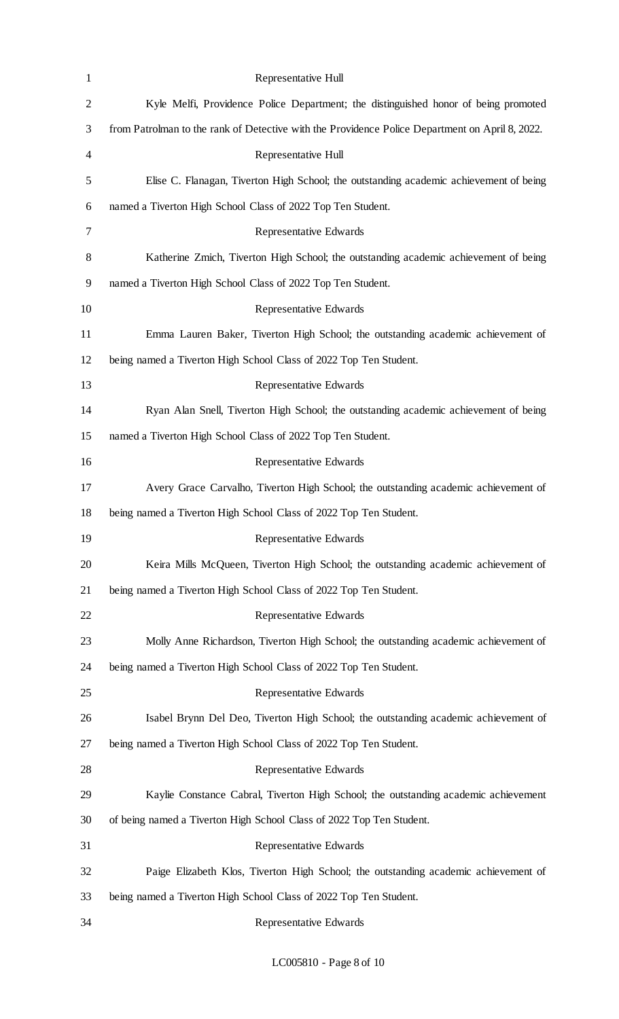| $\mathbf{1}$   | Representative Hull                                                                             |
|----------------|-------------------------------------------------------------------------------------------------|
| $\overline{c}$ | Kyle Melfi, Providence Police Department; the distinguished honor of being promoted             |
| 3              | from Patrolman to the rank of Detective with the Providence Police Department on April 8, 2022. |
| 4              | Representative Hull                                                                             |
| 5              | Elise C. Flanagan, Tiverton High School; the outstanding academic achievement of being          |
| 6              | named a Tiverton High School Class of 2022 Top Ten Student.                                     |
| 7              | Representative Edwards                                                                          |
| 8              | Katherine Zmich, Tiverton High School; the outstanding academic achievement of being            |
| 9              | named a Tiverton High School Class of 2022 Top Ten Student.                                     |
| 10             | Representative Edwards                                                                          |
| 11             | Emma Lauren Baker, Tiverton High School; the outstanding academic achievement of                |
| 12             | being named a Tiverton High School Class of 2022 Top Ten Student.                               |
| 13             | Representative Edwards                                                                          |
| 14             | Ryan Alan Snell, Tiverton High School; the outstanding academic achievement of being            |
| 15             | named a Tiverton High School Class of 2022 Top Ten Student.                                     |
| 16             | Representative Edwards                                                                          |
| 17             | Avery Grace Carvalho, Tiverton High School; the outstanding academic achievement of             |
| 18             | being named a Tiverton High School Class of 2022 Top Ten Student.                               |
| 19             | Representative Edwards                                                                          |
| 20             | Keira Mills McQueen, Tiverton High School; the outstanding academic achievement of              |
| 21             | being named a Tiverton High School Class of 2022 Top Ten Student.                               |
| 22             | Representative Edwards                                                                          |
| 23             | Molly Anne Richardson, Tiverton High School; the outstanding academic achievement of            |
| 24             | being named a Tiverton High School Class of 2022 Top Ten Student.                               |
| 25             | Representative Edwards                                                                          |
| 26             | Isabel Brynn Del Deo, Tiverton High School; the outstanding academic achievement of             |
| 27             | being named a Tiverton High School Class of 2022 Top Ten Student.                               |
| 28             | Representative Edwards                                                                          |
| 29             | Kaylie Constance Cabral, Tiverton High School; the outstanding academic achievement             |
| 30             | of being named a Tiverton High School Class of 2022 Top Ten Student.                            |
| 31             | Representative Edwards                                                                          |
| 32             | Paige Elizabeth Klos, Tiverton High School; the outstanding academic achievement of             |
| 33             | being named a Tiverton High School Class of 2022 Top Ten Student.                               |
| 34             | Representative Edwards                                                                          |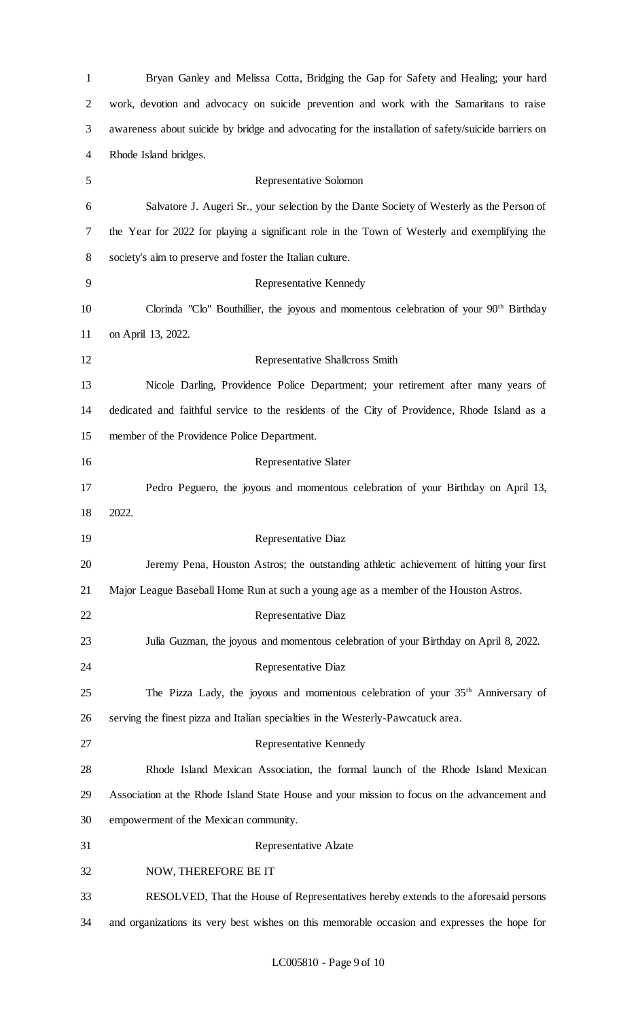| $\mathbf 1$    | Bryan Ganley and Melissa Cotta, Bridging the Gap for Safety and Healing; your hard                  |
|----------------|-----------------------------------------------------------------------------------------------------|
| $\overline{2}$ | work, devotion and advocacy on suicide prevention and work with the Samaritans to raise             |
| 3              | awareness about suicide by bridge and advocating for the installation of safety/suicide barriers on |
| 4              | Rhode Island bridges.                                                                               |
| 5              | Representative Solomon                                                                              |
| 6              | Salvatore J. Augeri Sr., your selection by the Dante Society of Westerly as the Person of           |
| 7              | the Year for 2022 for playing a significant role in the Town of Westerly and exemplifying the       |
| 8              | society's aim to preserve and foster the Italian culture.                                           |
| 9              | Representative Kennedy                                                                              |
| 10             | Clorinda "Clo" Bouthillier, the joyous and momentous celebration of your 90 <sup>th</sup> Birthday  |
| 11             | on April 13, 2022.                                                                                  |
| 12             | Representative Shallcross Smith                                                                     |
| 13             | Nicole Darling, Providence Police Department; your retirement after many years of                   |
| 14             | dedicated and faithful service to the residents of the City of Providence, Rhode Island as a        |
| 15             | member of the Providence Police Department.                                                         |
| 16             | <b>Representative Slater</b>                                                                        |
| 17             | Pedro Peguero, the joyous and momentous celebration of your Birthday on April 13,                   |
| 18             | 2022.                                                                                               |
| 19             | Representative Diaz                                                                                 |
| 20             | Jeremy Pena, Houston Astros; the outstanding athletic achievement of hitting your first             |
| 21             | Major League Baseball Home Run at such a young age as a member of the Houston Astros.               |
| 22             | Representative Diaz                                                                                 |
| 23             | Julia Guzman, the joyous and momentous celebration of your Birthday on April 8, 2022.               |
| 24             | Representative Diaz                                                                                 |
| 25             | The Pizza Lady, the joyous and momentous celebration of your 35 <sup>th</sup> Anniversary of        |
| 26             | serving the finest pizza and Italian specialties in the Westerly-Pawcatuck area.                    |
| 27             | Representative Kennedy                                                                              |
| 28             | Rhode Island Mexican Association, the formal launch of the Rhode Island Mexican                     |
| 29             | Association at the Rhode Island State House and your mission to focus on the advancement and        |
| 30             | empowerment of the Mexican community.                                                               |
| 31             | Representative Alzate                                                                               |
| 32             | NOW, THEREFORE BE IT                                                                                |
| 33             | RESOLVED, That the House of Representatives hereby extends to the aforesaid persons                 |
| 34             | and organizations its very best wishes on this memorable occasion and expresses the hope for        |